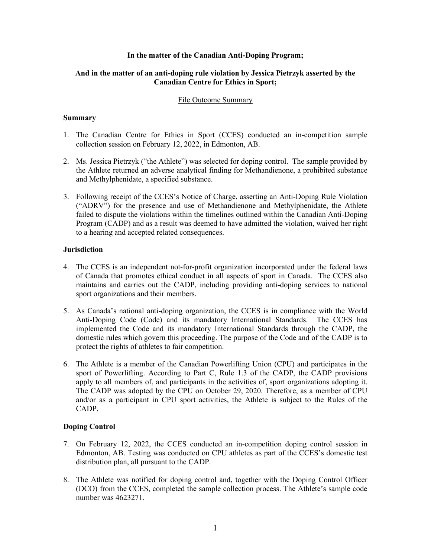### **In the matter of the Canadian Anti-Doping Program;**

# **And in the matter of an anti-doping rule violation by Jessica Pietrzyk asserted by the Canadian Centre for Ethics in Sport;**

#### File Outcome Summary

### **Summary**

- 1. The Canadian Centre for Ethics in Sport (CCES) conducted an in-competition sample collection session on February 12, 2022, in Edmonton, AB.
- 2. Ms. Jessica Pietrzyk ("the Athlete") was selected for doping control. The sample provided by the Athlete returned an adverse analytical finding for Methandienone, a prohibited substance and Methylphenidate, a specified substance.
- 3. Following receipt of the CCES's Notice of Charge, asserting an Anti-Doping Rule Violation ("ADRV") for the presence and use of Methandienone and Methylphenidate, the Athlete failed to dispute the violations within the timelines outlined within the Canadian Anti-Doping Program (CADP) and as a result was deemed to have admitted the violation, waived her right to a hearing and accepted related consequences.

### **Jurisdiction**

- 4. The CCES is an independent not-for-profit organization incorporated under the federal laws of Canada that promotes ethical conduct in all aspects of sport in Canada. The CCES also maintains and carries out the CADP, including providing anti-doping services to national sport organizations and their members.
- 5. As Canada's national anti-doping organization, the CCES is in compliance with the World Anti-Doping Code (Code) and its mandatory International Standards. The CCES has implemented the Code and its mandatory International Standards through the CADP, the domestic rules which govern this proceeding. The purpose of the Code and of the CADP is to protect the rights of athletes to fair competition.
- 6. The Athlete is a member of the Canadian Powerlifting Union (CPU) and participates in the sport of Powerlifting. According to Part C, Rule 1.3 of the CADP, the CADP provisions apply to all members of, and participants in the activities of, sport organizations adopting it. The CADP was adopted by the CPU on October 29, 2020. Therefore, as a member of CPU and/or as a participant in CPU sport activities, the Athlete is subject to the Rules of the CADP.

# **Doping Control**

- 7. On February 12, 2022, the CCES conducted an in-competition doping control session in Edmonton, AB. Testing was conducted on CPU athletes as part of the CCES's domestic test distribution plan, all pursuant to the CADP.
- 8. The Athlete was notified for doping control and, together with the Doping Control Officer (DCO) from the CCES, completed the sample collection process. The Athlete's sample code number was 4623271.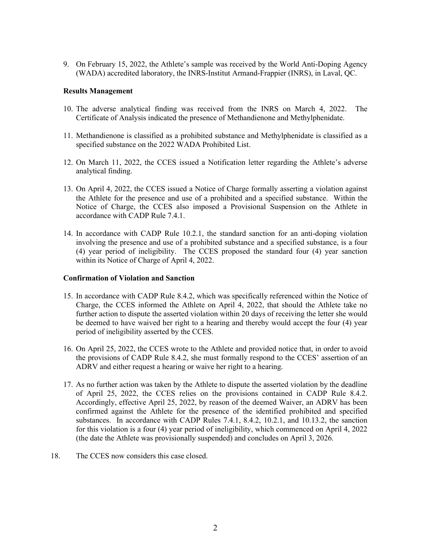9. On February 15, 2022, the Athlete's sample was received by the World Anti-Doping Agency (WADA) accredited laboratory, the INRS-Institut Armand-Frappier (INRS), in Laval, QC.

### **Results Management**

- 10. The adverse analytical finding was received from the INRS on March 4, 2022. The Certificate of Analysis indicated the presence of Methandienone and Methylphenidate.
- 11. Methandienone is classified as a prohibited substance and Methylphenidate is classified as a specified substance on the 2022 WADA Prohibited List.
- 12. On March 11, 2022, the CCES issued a Notification letter regarding the Athlete's adverse analytical finding.
- 13. On April 4, 2022, the CCES issued a Notice of Charge formally asserting a violation against the Athlete for the presence and use of a prohibited and a specified substance. Within the Notice of Charge, the CCES also imposed a Provisional Suspension on the Athlete in accordance with CADP Rule 7.4.1.
- 14. In accordance with CADP Rule 10.2.1, the standard sanction for an anti-doping violation involving the presence and use of a prohibited substance and a specified substance, is a four (4) year period of ineligibility. The CCES proposed the standard four (4) year sanction within its Notice of Charge of April 4, 2022.

### **Confirmation of Violation and Sanction**

- 15. In accordance with CADP Rule 8.4.2, which was specifically referenced within the Notice of Charge, the CCES informed the Athlete on April 4, 2022, that should the Athlete take no further action to dispute the asserted violation within 20 days of receiving the letter she would be deemed to have waived her right to a hearing and thereby would accept the four (4) year period of ineligibility asserted by the CCES.
- 16. On April 25, 2022, the CCES wrote to the Athlete and provided notice that, in order to avoid the provisions of CADP Rule 8.4.2, she must formally respond to the CCES' assertion of an ADRV and either request a hearing or waive her right to a hearing.
- 17. As no further action was taken by the Athlete to dispute the asserted violation by the deadline of April 25, 2022, the CCES relies on the provisions contained in CADP Rule 8.4.2. Accordingly, effective April 25, 2022, by reason of the deemed Waiver, an ADRV has been confirmed against the Athlete for the presence of the identified prohibited and specified substances. In accordance with CADP Rules 7.4.1, 8.4.2, 10.2.1, and 10.13.2, the sanction for this violation is a four (4) year period of ineligibility, which commenced on April 4, 2022 (the date the Athlete was provisionally suspended) and concludes on April 3, 2026.
- 18. The CCES now considers this case closed.